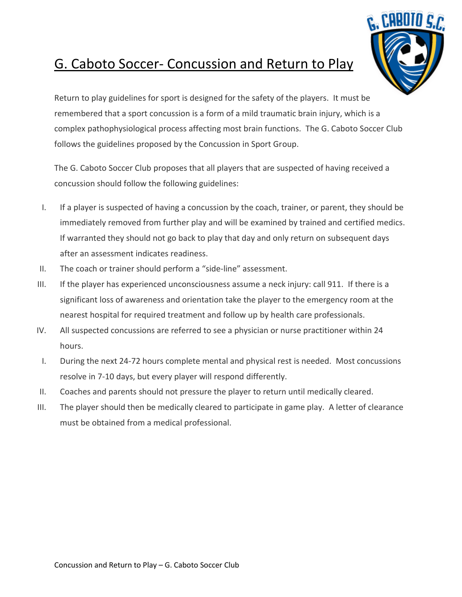

## G. Caboto Soccer- Concussion and Return to Play

Return to play guidelines for sport is designed for the safety of the players. It must be remembered that a sport concussion is a form of a mild traumatic brain injury, which is a complex pathophysiological process affecting most brain functions. The G. Caboto Soccer Club follows the guidelines proposed by the Concussion in Sport Group.

The G. Caboto Soccer Club proposes that all players that are suspected of having received a concussion should follow the following guidelines:

- I. If a player is suspected of having a concussion by the coach, trainer, or parent, they should be immediately removed from further play and will be examined by trained and certified medics. If warranted they should not go back to play that day and only return on subsequent days after an assessment indicates readiness.
- II. The coach or trainer should perform a "side-line" assessment.
- III. If the player has experienced unconsciousness assume a neck injury: call 911. If there is a significant loss of awareness and orientation take the player to the emergency room at the nearest hospital for required treatment and follow up by health care professionals.
- IV. All suspected concussions are referred to see a physician or nurse practitioner within 24 hours.
- I. During the next 24-72 hours complete mental and physical rest is needed. Most concussions resolve in 7-10 days, but every player will respond differently.
- II. Coaches and parents should not pressure the player to return until medically cleared.
- III. The player should then be medically cleared to participate in game play. A letter of clearance must be obtained from a medical professional.